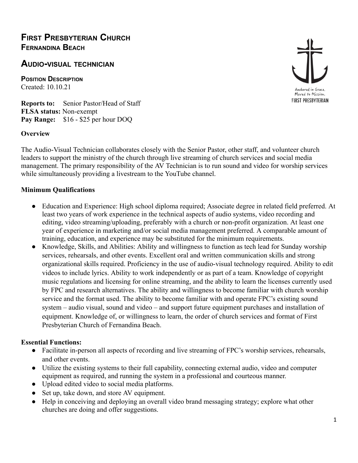## **AUDIO-VISUAL TECHNICIAN**

**POSITION DESCRIPTION** Created: 10.10.21

**Reports to:** Senior Pastor/Head of Staff **FLSA status:** Non-exempt **Pay Range:** \$16 - \$25 per hour DOQ

## **Overview**

The Audio-Visual Technician collaborates closely with the Senior Pastor, other staff, and volunteer church leaders to support the ministry of the church through live streaming of church services and social media management. The primary responsibility of the AV Technician is to run sound and video for worship services while simultaneously providing a livestream to the YouTube channel.

## **Minimum Qualifications**

- Education and Experience: High school diploma required; Associate degree in related field preferred. At least two years of work experience in the technical aspects of audio systems, video recording and editing, video streaming/uploading, preferably with a church or non-profit organization. At least one year of experience in marketing and/or social media management preferred. A comparable amount of training, education, and experience may be substituted for the minimum requirements.
- Knowledge, Skills, and Abilities: Ability and willingness to function as tech lead for Sunday worship services, rehearsals, and other events. Excellent oral and written communication skills and strong organizational skills required. Proficiency in the use of audio-visual technology required. Ability to edit videos to include lyrics. Ability to work independently or as part of a team. Knowledge of copyright music regulations and licensing for online streaming, and the ability to learn the licenses currently used by FPC and research alternatives. The ability and willingness to become familiar with church worship service and the format used. The ability to become familiar with and operate FPC's existing sound system – audio visual, sound and video – and support future equipment purchases and installation of equipment. Knowledge of, or willingness to learn, the order of church services and format of First Presbyterian Church of Fernandina Beach.

## **Essential Functions:**

- Facilitate in-person all aspects of recording and live streaming of FPC's worship services, rehearsals, and other events.
- Utilize the existing systems to their full capability, connecting external audio, video and computer equipment as required, and running the system in a professional and courteous manner.
- Upload edited video to social media platforms.
- Set up, take down, and store AV equipment.
- Help in conceiving and deploying an overall video brand messaging strategy; explore what other churches are doing and offer suggestions.